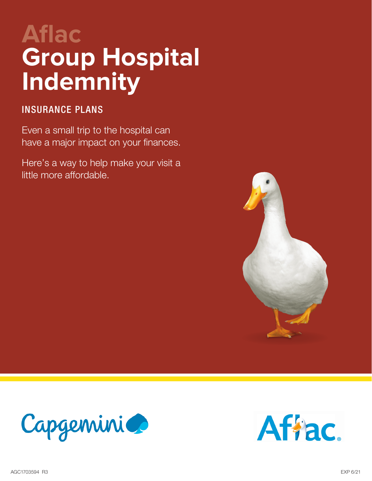# **Aflac Group Hospital Indemnity**

## INSURANCE PLANS

Even a small trip to the hospital can have a major impact on your finances.

Here's a way to help make your visit a little more affordable.





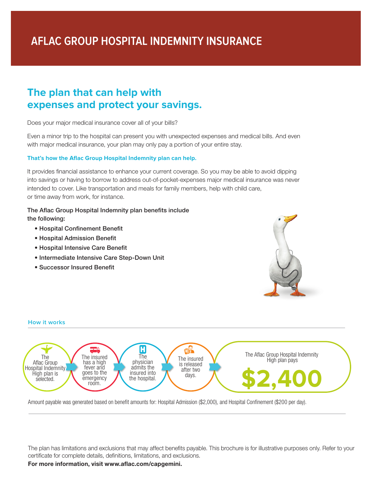## **The plan that can help with expenses and protect your savings.**

Does your major medical insurance cover all of your bills?

Even a minor trip to the hospital can present you with unexpected expenses and medical bills. And even with major medical insurance, your plan may only pay a portion of your entire stay.

#### **That's how the Aflac Group Hospital Indemnity plan can help.**

It provides financial assistance to enhance your current coverage. So you may be able to avoid dipping into savings or having to borrow to address out-of-pocket-expenses major medical insurance was never intended to cover. Like transportation and meals for family members, help with child care, or time away from work, for instance.

## The Aflac Group Hospital Indemnity plan benefits include

the following:

**How it works**

- Hospital Confinement Benefit
- Hospital Admission Benefit
- Hospital Intensive Care Benefit
- Intermediate Intensive Care Step-Down Unit
- Successor Insured Benefit





Amount payable was generated based on benefit amounts for: Hospital Admission (\$2,000), and Hospital Confinement (\$200 per day).

The plan has limitations and exclusions that may affect benefits payable. This brochure is for illustrative purposes only. Refer to your certificate for complete details, definitions, limitations, and exclusions.

**For more information, visit www.aflac.com/capgemini.**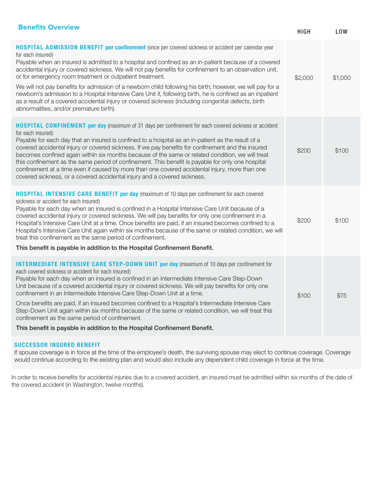| <b>Benefits Overview</b>                                                                                                                                                                                                                                                                                                                                                                                                                                                                                                                                                                                                                                                                                                                                                                   | <b>HIGH</b> | <b>LOW</b> |
|--------------------------------------------------------------------------------------------------------------------------------------------------------------------------------------------------------------------------------------------------------------------------------------------------------------------------------------------------------------------------------------------------------------------------------------------------------------------------------------------------------------------------------------------------------------------------------------------------------------------------------------------------------------------------------------------------------------------------------------------------------------------------------------------|-------------|------------|
| <b>HOSPITAL ADMISSION BENEFIT per confinement</b> (once per covered sickness or accident per calendar year<br>for each insured)<br>Payable when an insured is admitted to a hospital and confined as an in-patient because of a covered<br>accidental injury or covered sickness. We will not pay benefits for confinement to an observation unit,<br>or for emergency room treatment or outpatient treatment.<br>We will not pay benefits for admission of a newborn child following his birth; however, we will pay for a<br>newborn's admission to a Hospital Intensive Care Unit if, following birth, he is confined as an inpatient<br>as a result of a covered accidental injury or covered sickness (including congenital defects, birth<br>abnormalities, and/or premature birth). | \$2,000     | \$1,000    |
| <b>HOSPITAL CONFINEMENT per day</b> (maximum of 31 days per confinement for each covered sickness or accident<br>for each insured)<br>Payable for each day that an insured is confined to a hospital as an in-patient as the result of a<br>covered accidental injury or covered sickness. If we pay benefits for confinement and the insured<br>becomes confined again within six months because of the same or related condition, we will treat<br>this confinement as the same period of confinement. This benefit is payable for only one hospital<br>confinement at a time even if caused by more than one covered accidental injury, more than one<br>covered sickness, or a covered accidental injury and a covered sickness.                                                       | \$200       | \$100      |
| <b>HOSPITAL INTENSIVE CARE BENEFIT per day</b> (maximum of 10 days per confinement for each covered<br>sickness or accident for each insured)<br>Payable for each day when an insured is confined in a Hospital Intensive Care Unit because of a<br>covered accidental injury or covered sickness. We will pay benefits for only one confinement in a<br>Hospital's Intensive Care Unit at a time. Once benefits are paid, if an insured becomes confined to a<br>Hospital's Intensive Care Unit again within six months because of the same or related condition, we will<br>treat this confinement as the same period of confinement.<br>This benefit is payable in addition to the Hospital Confinement Benefit.                                                                        | \$200       | \$100      |
| <b>INTERMEDIATE INTENSIVE CARE STEP-DOWN UNIT per day</b> (maximum of 10 days per confinement for<br>each covered sickness or accident for each insured)<br>Payable for each day when an insured is confined in an Intermediate Intensive Care Step-Down<br>Unit because of a covered accidental injury or covered sickness. We will pay benefits for only one<br>confinement in an Intermediate Intensive Care Step-Down Unit at a time.<br>Once benefits are paid, if an insured becomes confined to a Hospital's Intermediate Intensive Care<br>Step-Down Unit again within six months because of the same or related condition, we will treat this<br>confinement as the same period of confinement.<br>This benefit is payable in addition to the Hospital Confinement Benefit.       | \$100       | \$75       |
|                                                                                                                                                                                                                                                                                                                                                                                                                                                                                                                                                                                                                                                                                                                                                                                            |             |            |

### SUCCESSOR INSURED BENEFIT

If spouse coverage is in force at the time of the employee's death, the surviving spouse may elect to continue coverage. Coverage would continue according to the existing plan and would also include any dependent child coverage in force at the time.

In order to receive benefits for accidental injuries due to a covered accident, an insured must be admitted within six months of the date of the covered accident (in Washington, twelve months).